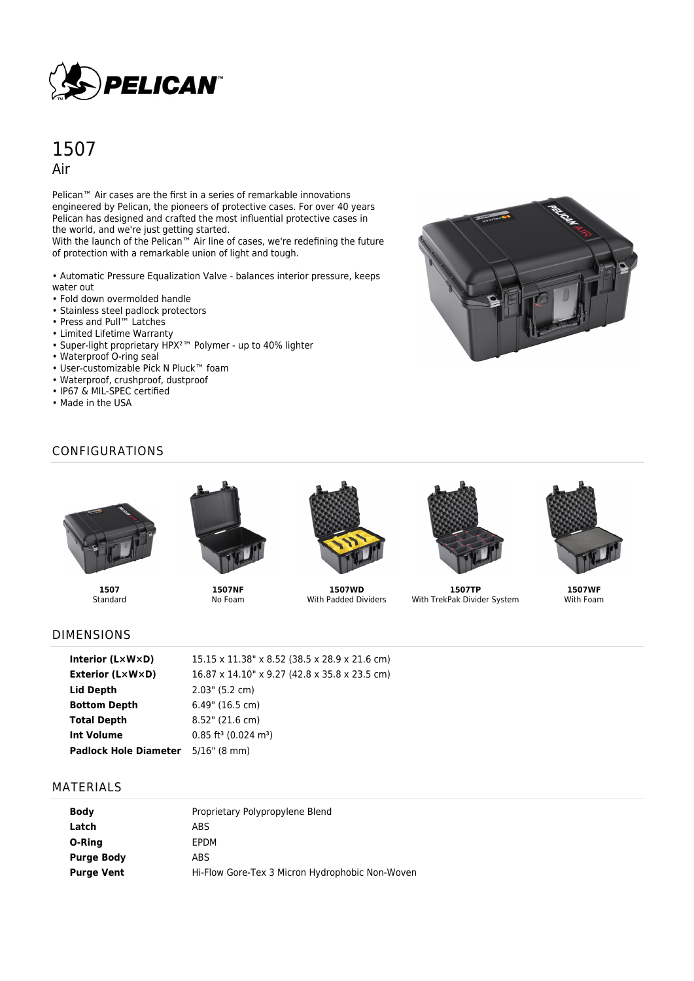

# 1507 Air

Pelican<sup>™</sup> Air cases are the first in a series of remarkable innovations engineered by Pelican, the pioneers of protective cases. For over 40 years Pelican has designed and crafted the most influential protective cases in the world, and we're just getting started.

With the launch of the Pelican™ Air line of cases, we're redefining the future of protection with a remarkable union of light and tough.

• Automatic Pressure Equalization Valve - balances interior pressure, keeps water out

- Fold down overmolded handle
- Stainless steel padlock protectors
- Press and Pull™ Latches
- Limited Lifetime Warranty
- Super-light proprietary HPX²™ Polymer up to 40% lighter
- Waterproof O-ring seal
- User-customizable Pick N Pluck™ foam
- Waterproof, crushproof, dustproof
- IP67 & MIL-SPEC certified
- Made in the USA



# CONFIGURATIONS



**1507 Standard** 





No Foam



**1507WD** With Padded Dividers



**1507TP** With TrekPak Divider System



**1507WF** With Foam

### DIMENSIONS

| Interior $(L \times W \times D)$          | 15.15 x 11.38" x 8.52 (38.5 x 28.9 x 21.6 cm)  |
|-------------------------------------------|------------------------------------------------|
| <b>Exterior (L×W×D)</b>                   | 16.87 x 14.10" x 9.27 (42.8 x 35.8 x 23.5 cm)  |
| Lid Depth                                 | $2.03$ " (5.2 cm)                              |
| <b>Bottom Depth</b>                       | $6.49$ " (16.5 cm)                             |
| <b>Total Depth</b>                        | $8.52$ " (21.6 cm)                             |
| <b>Int Volume</b>                         | $0.85$ ft <sup>3</sup> (0.024 m <sup>3</sup> ) |
| <b>Padlock Hole Diameter</b> 5/16" (8 mm) |                                                |

#### MATERIALS

| <b>Body</b>       | Proprietary Polypropylene Blend                 |
|-------------------|-------------------------------------------------|
| Latch             | ABS                                             |
| O-Ring            | EPDM                                            |
| <b>Purge Body</b> | ABS                                             |
| <b>Purge Vent</b> | Hi-Flow Gore-Tex 3 Micron Hydrophobic Non-Woven |